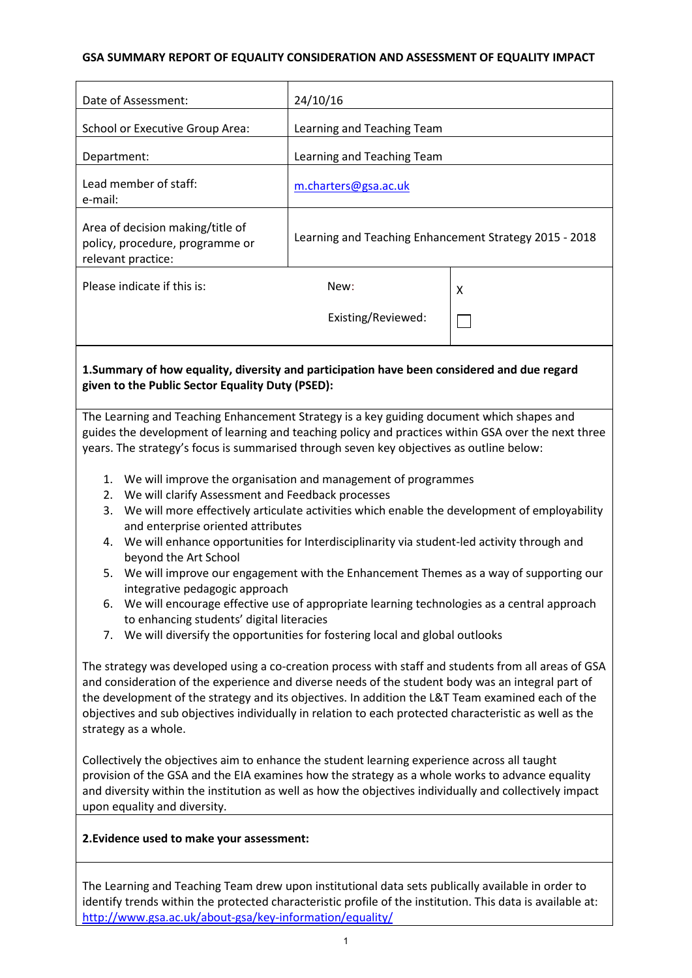### **GSA SUMMARY REPORT OF EQUALITY CONSIDERATION AND ASSESSMENT OF EQUALITY IMPACT**

| Date of Assessment:                                                                                                                                     | 24/10/16                                               |   |
|---------------------------------------------------------------------------------------------------------------------------------------------------------|--------------------------------------------------------|---|
| <b>School or Executive Group Area:</b>                                                                                                                  | Learning and Teaching Team                             |   |
| Department:                                                                                                                                             | Learning and Teaching Team                             |   |
| Lead member of staff:<br>e-mail:                                                                                                                        | m.charters@gsa.ac.uk                                   |   |
| Area of decision making/title of<br>policy, procedure, programme or<br>relevant practice:                                                               | Learning and Teaching Enhancement Strategy 2015 - 2018 |   |
| Please indicate if this is:                                                                                                                             | New:                                                   | x |
|                                                                                                                                                         | Existing/Reviewed:                                     |   |
| 1. Summary of how equality, diversity and participation have been considered and due regard<br>given to the Public Sector Equality Duty (PSED):         |                                                        |   |
| The Learning and Teaching Enhancement Strategy is a key guiding document which shapes and                                                               |                                                        |   |
| guides the development of learning and teaching policy and practices within GSA over the next three                                                     |                                                        |   |
| years. The strategy's focus is summarised through seven key objectives as outline below:                                                                |                                                        |   |
|                                                                                                                                                         |                                                        |   |
| We will improve the organisation and management of programmes<br>1.                                                                                     |                                                        |   |
| 2.                                                                                                                                                      |                                                        |   |
| We will clarify Assessment and Feedback processes<br>We will more effectively articulate activities which enable the development of employability<br>3. |                                                        |   |
| and enterprise oriented attributes                                                                                                                      |                                                        |   |
| We will enhance opportunities for Interdisciplinarity via student-led activity through and<br>4.                                                        |                                                        |   |
| beyond the Art School                                                                                                                                   |                                                        |   |
| We will improve our engagement with the Enhancement Themes as a way of supporting our<br>5.                                                             |                                                        |   |
| integrative pedagogic approach                                                                                                                          |                                                        |   |
| We will encourage effective use of appropriate learning technologies as a central approach<br>6.                                                        |                                                        |   |
| to enhancing students' digital literacies                                                                                                               |                                                        |   |
| We will diversify the opportunities for fostering local and global outlooks<br>7.                                                                       |                                                        |   |
|                                                                                                                                                         |                                                        |   |

The strategy was developed using a co-creation process with staff and students from all areas of GSA and consideration of the experience and diverse needs of the student body was an integral part of the development of the strategy and its objectives. In addition the L&T Team examined each of the objectives and sub objectives individually in relation to each protected characteristic as well as the strategy as a whole.

Collectively the objectives aim to enhance the student learning experience across all taught provision of the GSA and the EIA examines how the strategy as a whole works to advance equality and diversity within the institution as well as how the objectives individually and collectively impact upon equality and diversity.

### **2.Evidence used to make your assessment:**

The Learning and Teaching Team drew upon institutional data sets publically available in order to identify trends within the protected characteristic profile of the institution. This data is available at: <http://www.gsa.ac.uk/about-gsa/key-information/equality/>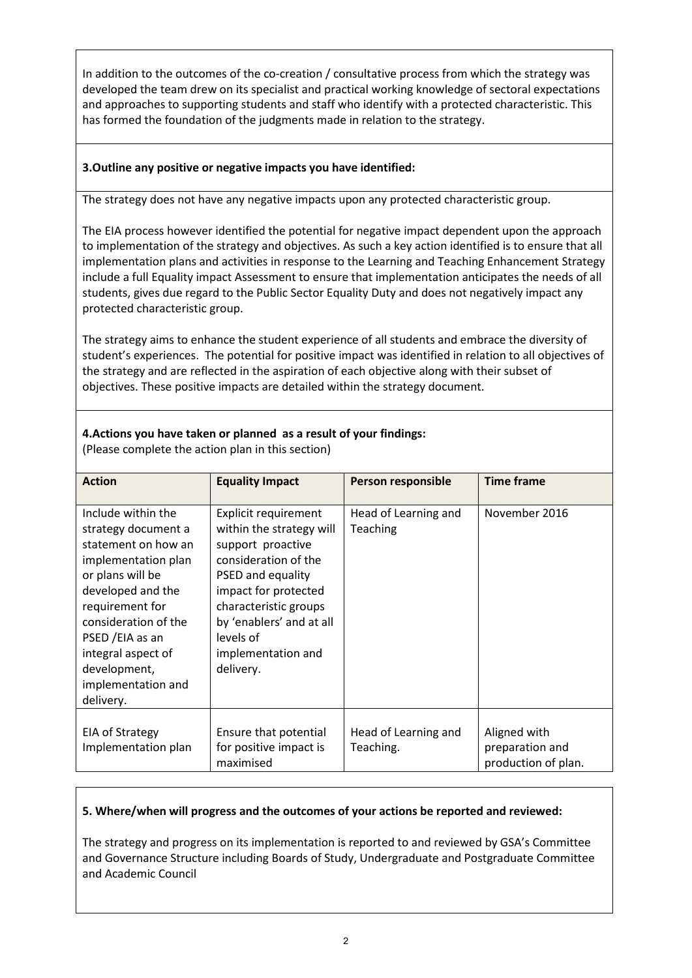In addition to the outcomes of the co-creation / consultative process from which the strategy was developed the team drew on its specialist and practical working knowledge of sectoral expectations and approaches to supporting students and staff who identify with a protected characteristic. This has formed the foundation of the judgments made in relation to the strategy.

## **3.Outline any positive or negative impacts you have identified:**

The strategy does not have any negative impacts upon any protected characteristic group.

The EIA process however identified the potential for negative impact dependent upon the approach to implementation of the strategy and objectives. As such a key action identified is to ensure that all implementation plans and activities in response to the Learning and Teaching Enhancement Strategy include a full Equality impact Assessment to ensure that implementation anticipates the needs of all students, gives due regard to the Public Sector Equality Duty and does not negatively impact any protected characteristic group.

The strategy aims to enhance the student experience of all students and embrace the diversity of student's experiences. The potential for positive impact was identified in relation to all objectives of the strategy and are reflected in the aspiration of each objective along with their subset of objectives. These positive impacts are detailed within the strategy document.

# **4.Actions you have taken or planned as a result of your findings:**

(Please complete the action plan in this section)

| <b>Action</b>                                                                                                                                                                                                                                                            | <b>Equality Impact</b>                                                                                                                                                                                                                                 | Person responsible                | <b>Time frame</b>                                      |
|--------------------------------------------------------------------------------------------------------------------------------------------------------------------------------------------------------------------------------------------------------------------------|--------------------------------------------------------------------------------------------------------------------------------------------------------------------------------------------------------------------------------------------------------|-----------------------------------|--------------------------------------------------------|
| Include within the<br>strategy document a<br>statement on how an<br>implementation plan<br>or plans will be<br>developed and the<br>requirement for<br>consideration of the<br>PSED / EIA as an<br>integral aspect of<br>development,<br>implementation and<br>delivery. | <b>Explicit requirement</b><br>within the strategy will<br>support proactive<br>consideration of the<br>PSED and equality<br>impact for protected<br>characteristic groups<br>by 'enablers' and at all<br>levels of<br>implementation and<br>delivery. | Head of Learning and<br>Teaching  | November 2016                                          |
| EIA of Strategy<br>Implementation plan                                                                                                                                                                                                                                   | Ensure that potential<br>for positive impact is<br>maximised                                                                                                                                                                                           | Head of Learning and<br>Teaching. | Aligned with<br>preparation and<br>production of plan. |

# **5. Where/when will progress and the outcomes of your actions be reported and reviewed:**

The strategy and progress on its implementation is reported to and reviewed by GSA's Committee and Governance Structure including Boards of Study, Undergraduate and Postgraduate Committee and Academic Council